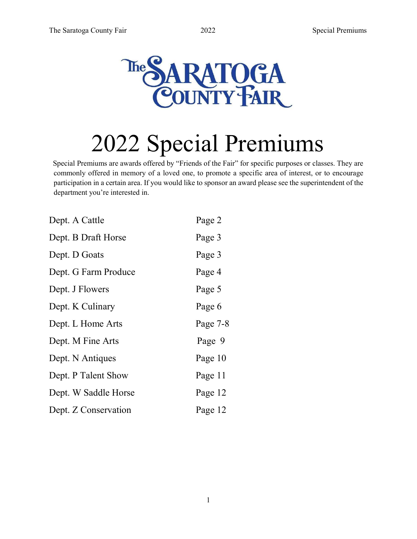

# 2022 Special Premiums

Special Premiums are awards offered by "Friends of the Fair" for specific purposes or classes. They are commonly offered in memory of a loved one, to promote a specific area of interest, or to encourage participation in a certain area. If you would like to sponsor an award please see the superintendent of the department you're interested in.

1

| Dept. A Cattle       | Page 2   |
|----------------------|----------|
| Dept. B Draft Horse  | Page 3   |
| Dept. D Goats        | Page 3   |
| Dept. G Farm Produce | Page 4   |
| Dept. J Flowers      | Page 5   |
| Dept. K Culinary     | Page 6   |
| Dept. L Home Arts    | Page 7-8 |
| Dept. M Fine Arts    | Page 9   |
| Dept. N Antiques     | Page 10  |
| Dept. P Talent Show  | Page 11  |
| Dept. W Saddle Horse | Page 12  |
| Dept. Z Conservation | Page 12  |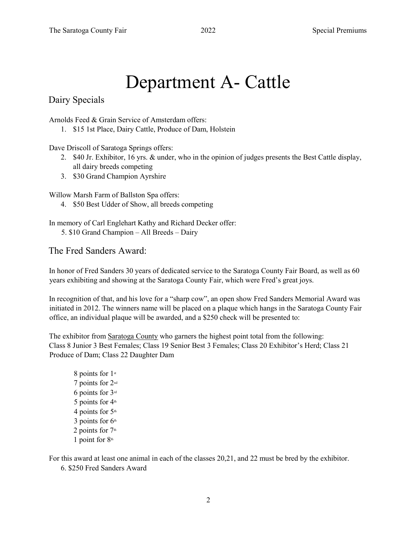# Department A- Cattle

Dairy Specials

Arnolds Feed & Grain Service of Amsterdam offers:

1. \$15 1st Place, Dairy Cattle, Produce of Dam, Holstein

Dave Driscoll of Saratoga Springs offers:

- 2. \$40 Jr. Exhibitor, 16 yrs. & under, who in the opinion of judges presents the Best Cattle display, all dairy breeds competing
- 3. \$30 Grand Champion Ayrshire

Willow Marsh Farm of Ballston Spa offers:

4. \$50 Best Udder of Show, all breeds competing

In memory of Carl Englehart Kathy and Richard Decker offer: 5. \$10 Grand Champion – All Breeds – Dairy

#### The Fred Sanders Award:

In honor of Fred Sanders 30 years of dedicated service to the Saratoga County Fair Board, as well as 60 years exhibiting and showing at the Saratoga County Fair, which were Fred's great joys.

In recognition of that, and his love for a "sharp cow", an open show Fred Sanders Memorial Award was initiated in 2012. The winners name will be placed on a plaque which hangs in the Saratoga County Fair office, an individual plaque will be awarded, and a \$250 check will be presented to:

The exhibitor from Saratoga County who garners the highest point total from the following: Class 8 Junior 3 Best Females; Class 19 Senior Best 3 Females; Class 20 Exhibitor's Herd; Class 21 Produce of Dam; Class 22 Daughter Dam

8 points for 1st 7 points for 2nd 6 points for 3rd 5 points for  $4<sup>th</sup>$ 4 points for  $5<sup>th</sup>$ 3 points for  $6<sup>th</sup>$ 2 points for  $7<sup>th</sup>$ 1 point for  $8<sup>th</sup>$ 

For this award at least one animal in each of the classes 20,21, and 22 must be bred by the exhibitor. 6. \$250 Fred Sanders Award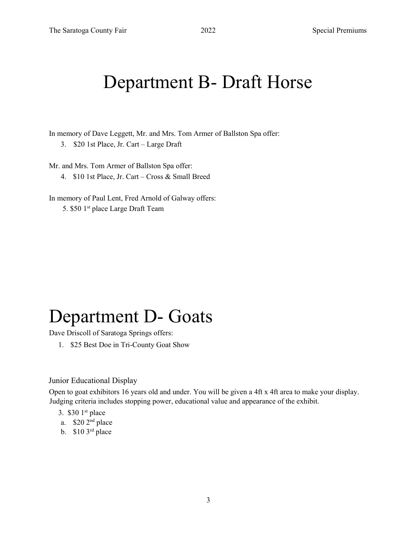#### Department B- Draft Horse

In memory of Dave Leggett, Mr. and Mrs. Tom Armer of Ballston Spa offer:

3. \$20 1st Place, Jr. Cart – Large Draft

Mr. and Mrs. Tom Armer of Ballston Spa offer:

4. \$10 1st Place, Jr. Cart – Cross & Small Breed

In memory of Paul Lent, Fred Arnold of Galway offers: 5. \$50 1st place Large Draft Team

### Department D- Goats

Dave Driscoll of Saratoga Springs offers:

1. \$25 Best Doe in Tri-County Goat Show

#### Junior Educational Display

Open to goat exhibitors 16 years old and under. You will be given a 4ft x 4ft area to make your display. Judging criteria includes stopping power, educational value and appearance of the exhibit.

- 3.  $$301<sup>st</sup>$  place
- a. \$20 2nd place
- b.  $$10 \, 3^{\text{rd}}$  place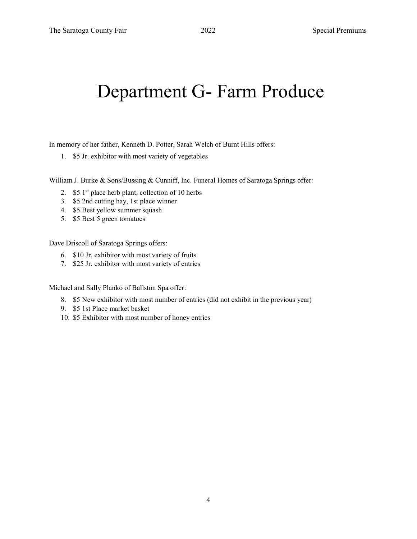#### Department G- Farm Produce

In memory of her father, Kenneth D. Potter, Sarah Welch of Burnt Hills offers:

1. \$5 Jr. exhibitor with most variety of vegetables

William J. Burke & Sons/Bussing & Cunniff, Inc. Funeral Homes of Saratoga Springs offer:

- 2.  $$51<sup>st</sup>$  place herb plant, collection of 10 herbs
- 3. \$5 2nd cutting hay, 1st place winner
- 4. \$5 Best yellow summer squash
- 5. \$5 Best 5 green tomatoes

Dave Driscoll of Saratoga Springs offers:

- 6. \$10 Jr. exhibitor with most variety of fruits
- 7. \$25 Jr. exhibitor with most variety of entries

Michael and Sally Planko of Ballston Spa offer:

- 8. \$5 New exhibitor with most number of entries (did not exhibit in the previous year)
- 9. \$5 1st Place market basket
- 10. \$5 Exhibitor with most number of honey entries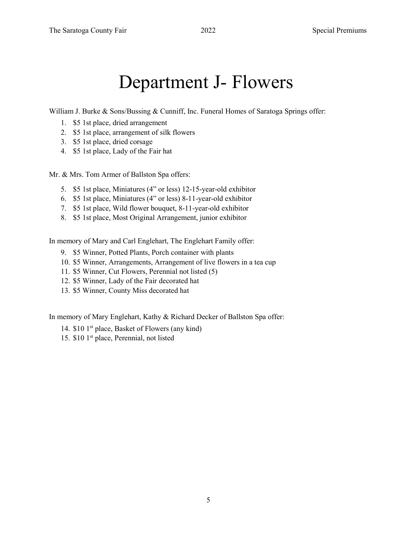#### Department J- Flowers

William J. Burke & Sons/Bussing & Cunniff, Inc. Funeral Homes of Saratoga Springs offer:

- 1. \$5 1st place, dried arrangement
- 2. \$5 1st place, arrangement of silk flowers
- 3. \$5 1st place, dried corsage
- 4. \$5 1st place, Lady of the Fair hat

Mr. & Mrs. Tom Armer of Ballston Spa offers:

- 5. \$5 1st place, Miniatures (4" or less) 12-15-year-old exhibitor
- 6. \$5 1st place, Miniatures (4" or less) 8-11-year-old exhibitor
- 7. \$5 1st place, Wild flower bouquet, 8-11-year-old exhibitor
- 8. \$5 1st place, Most Original Arrangement, junior exhibitor

In memory of Mary and Carl Englehart, The Englehart Family offer:

- 9. \$5 Winner, Potted Plants, Porch container with plants
- 10. \$5 Winner, Arrangements, Arrangement of live flowers in a tea cup
- 11. \$5 Winner, Cut Flowers, Perennial not listed (5)
- 12. \$5 Winner, Lady of the Fair decorated hat
- 13. \$5 Winner, County Miss decorated hat

In memory of Mary Englehart, Kathy & Richard Decker of Ballston Spa offer:

- 14. \$10 1<sup>st</sup> place, Basket of Flowers (any kind)
- 15. \$10 1st place, Perennial, not listed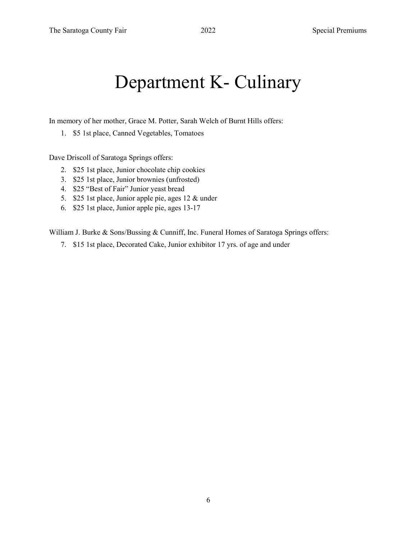### Department K- Culinary

In memory of her mother, Grace M. Potter, Sarah Welch of Burnt Hills offers:

1. \$5 1st place, Canned Vegetables, Tomatoes

Dave Driscoll of Saratoga Springs offers:

- 2. \$25 1st place, Junior chocolate chip cookies
- 3. \$25 1st place, Junior brownies (unfrosted)
- 4. \$25 "Best of Fair" Junior yeast bread
- 5. \$25 1st place, Junior apple pie, ages 12 & under
- 6. \$25 1st place, Junior apple pie, ages 13-17

William J. Burke & Sons/Bussing & Cunniff, Inc. Funeral Homes of Saratoga Springs offers:

7. \$15 1st place, Decorated Cake, Junior exhibitor 17 yrs. of age and under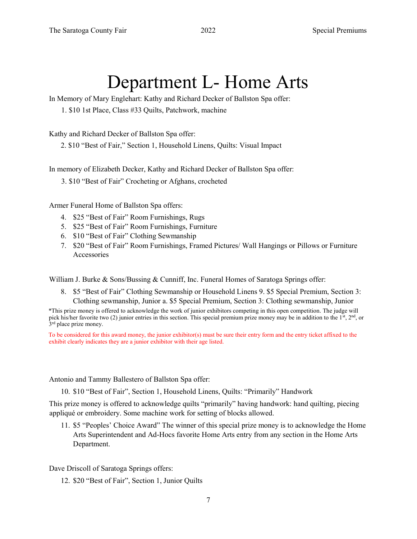#### Department L- Home Arts

In Memory of Mary Englehart: Kathy and Richard Decker of Ballston Spa offer:

1. \$10 1st Place, Class #33 Quilts, Patchwork, machine

Kathy and Richard Decker of Ballston Spa offer:

2. \$10 "Best of Fair," Section 1, Household Linens, Quilts: Visual Impact

In memory of Elizabeth Decker, Kathy and Richard Decker of Ballston Spa offer:

3. \$10 "Best of Fair" Crocheting or Afghans, crocheted

Armer Funeral Home of Ballston Spa offers:

- 4. \$25 "Best of Fair" Room Furnishings, Rugs
- 5. \$25 "Best of Fair" Room Furnishings, Furniture
- 6. \$10 "Best of Fair" Clothing Sewmanship
- 7. \$20 "Best of Fair" Room Furnishings, Framed Pictures/ Wall Hangings or Pillows or Furniture Accessories

William J. Burke & Sons/Bussing & Cunniff, Inc. Funeral Homes of Saratoga Springs offer:

8. \$5 "Best of Fair" Clothing Sewmanship or Household Linens 9. \$5 Special Premium, Section 3: Clothing sewmanship, Junior a. \$5 Special Premium, Section 3: Clothing sewmanship, Junior

\*This prize money is offered to acknowledge the work of junior exhibitors competing in this open competition. The judge will pick his/her favorite two (2) junior entries in this section. This special premium prize money may be in addition to the 1<sup>st</sup>, 2<sup>nd</sup>, or 3<sup>rd</sup> place prize money.

To be considered for this award money, the junior exhibitor(s) must be sure their entry form and the entry ticket affixed to the exhibit clearly indicates they are a junior exhibitor with their age listed.

Antonio and Tammy Ballestero of Ballston Spa offer:

10. \$10 "Best of Fair", Section 1, Household Linens, Quilts: "Primarily" Handwork

This prize money is offered to acknowledge quilts "primarily" having handwork: hand quilting, piecing appliqué or embroidery. Some machine work for setting of blocks allowed.

11. \$5 "Peoples' Choice Award" The winner of this special prize money is to acknowledge the Home Arts Superintendent and Ad-Hocs favorite Home Arts entry from any section in the Home Arts Department.

Dave Driscoll of Saratoga Springs offers:

12. \$20 "Best of Fair", Section 1, Junior Quilts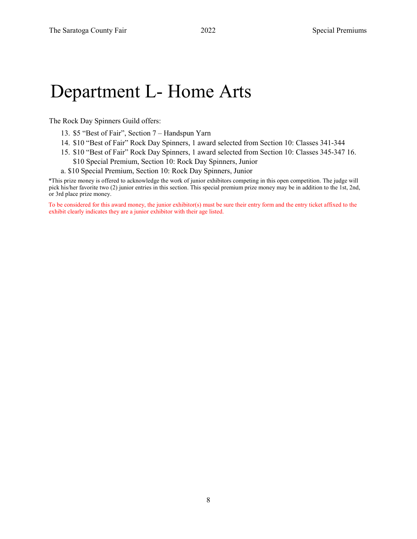#### Department L- Home Arts

The Rock Day Spinners Guild offers:

- 13. \$5 "Best of Fair", Section 7 Handspun Yarn
- 14. \$10 "Best of Fair" Rock Day Spinners, 1 award selected from Section 10: Classes 341-344
- 15. \$10 "Best of Fair" Rock Day Spinners, 1 award selected from Section 10: Classes 345-347 16. \$10 Special Premium, Section 10: Rock Day Spinners, Junior
- a. \$10 Special Premium, Section 10: Rock Day Spinners, Junior

\*This prize money is offered to acknowledge the work of junior exhibitors competing in this open competition. The judge will pick his/her favorite two (2) junior entries in this section. This special premium prize money may be in addition to the 1st, 2nd, or 3rd place prize money.

To be considered for this award money, the junior exhibitor(s) must be sure their entry form and the entry ticket affixed to the exhibit clearly indicates they are a junior exhibitor with their age listed.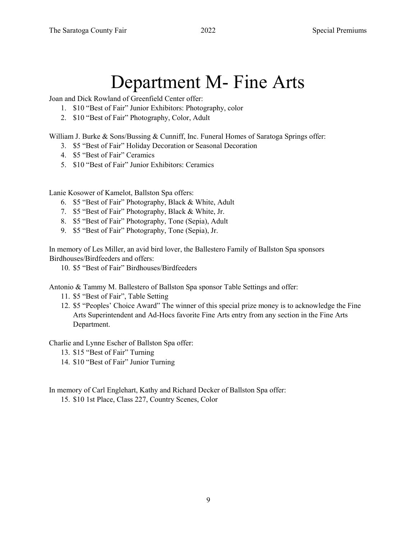# Department M- Fine Arts

Joan and Dick Rowland of Greenfield Center offer:

- 1. \$10 "Best of Fair" Junior Exhibitors: Photography, color
- 2. \$10 "Best of Fair" Photography, Color, Adult

William J. Burke & Sons/Bussing & Cunniff, Inc. Funeral Homes of Saratoga Springs offer:

- 3. \$5 "Best of Fair" Holiday Decoration or Seasonal Decoration
- 4. \$5 "Best of Fair" Ceramics
- 5. \$10 "Best of Fair" Junior Exhibitors: Ceramics

Lanie Kosower of Kamelot, Ballston Spa offers:

- 6. \$5 "Best of Fair" Photography, Black & White, Adult
- 7. \$5 "Best of Fair" Photography, Black & White, Jr.
- 8. \$5 "Best of Fair" Photography, Tone (Sepia), Adult
- 9. \$5 "Best of Fair" Photography, Tone (Sepia), Jr.

In memory of Les Miller, an avid bird lover, the Ballestero Family of Ballston Spa sponsors Birdhouses/Birdfeeders and offers:

10. \$5 "Best of Fair" Birdhouses/Birdfeeders

Antonio & Tammy M. Ballestero of Ballston Spa sponsor Table Settings and offer:

- 11. \$5 "Best of Fair", Table Setting
- 12. \$5 "Peoples' Choice Award" The winner of this special prize money is to acknowledge the Fine Arts Superintendent and Ad-Hocs favorite Fine Arts entry from any section in the Fine Arts Department.

Charlie and Lynne Escher of Ballston Spa offer:

- 13. \$15 "Best of Fair" Turning
- 14. \$10 "Best of Fair" Junior Turning

In memory of Carl Englehart, Kathy and Richard Decker of Ballston Spa offer:

15. \$10 1st Place, Class 227, Country Scenes, Color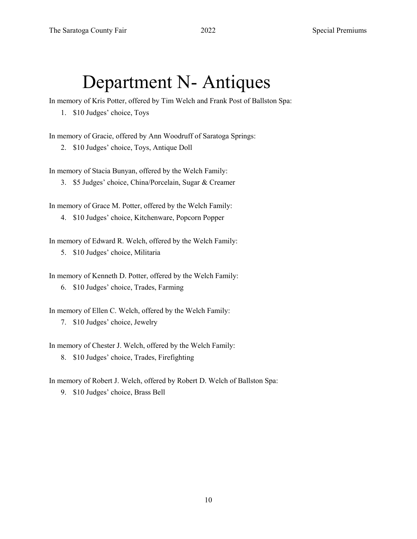### Department N- Antiques

In memory of Kris Potter, offered by Tim Welch and Frank Post of Ballston Spa:

1. \$10 Judges' choice, Toys

In memory of Gracie, offered by Ann Woodruff of Saratoga Springs:

2. \$10 Judges' choice, Toys, Antique Doll

In memory of Stacia Bunyan, offered by the Welch Family:

3. \$5 Judges' choice, China/Porcelain, Sugar & Creamer

In memory of Grace M. Potter, offered by the Welch Family:

4. \$10 Judges' choice, Kitchenware, Popcorn Popper

In memory of Edward R. Welch, offered by the Welch Family: 5. \$10 Judges' choice, Militaria

In memory of Kenneth D. Potter, offered by the Welch Family: 6. \$10 Judges' choice, Trades, Farming

In memory of Ellen C. Welch, offered by the Welch Family: 7. \$10 Judges' choice, Jewelry

In memory of Chester J. Welch, offered by the Welch Family:

8. \$10 Judges' choice, Trades, Firefighting

In memory of Robert J. Welch, offered by Robert D. Welch of Ballston Spa:

9. \$10 Judges' choice, Brass Bell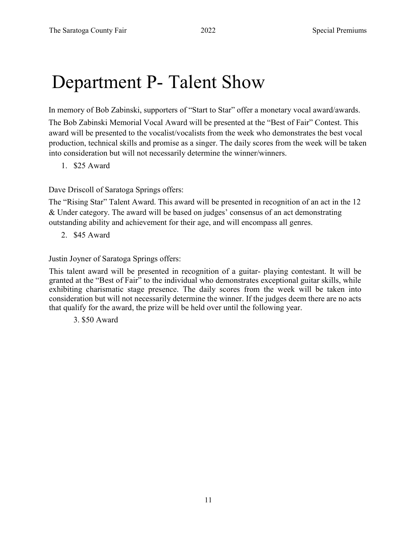#### Department P- Talent Show

In memory of Bob Zabinski, supporters of "Start to Star" offer a monetary vocal award/awards.

The Bob Zabinski Memorial Vocal Award will be presented at the "Best of Fair" Contest. This award will be presented to the vocalist/vocalists from the week who demonstrates the best vocal production, technical skills and promise as a singer. The daily scores from the week will be taken into consideration but will not necessarily determine the winner/winners.

1. \$25 Award

Dave Driscoll of Saratoga Springs offers:

The "Rising Star" Talent Award. This award will be presented in recognition of an act in the 12 & Under category. The award will be based on judges' consensus of an act demonstrating outstanding ability and achievement for their age, and will encompass all genres.

2. \$45 Award

Justin Joyner of Saratoga Springs offers:

This talent award will be presented in recognition of a guitar- playing contestant. It will be granted at the "Best of Fair" to the individual who demonstrates exceptional guitar skills, while exhibiting charismatic stage presence. The daily scores from the week will be taken into consideration but will not necessarily determine the winner. If the judges deem there are no acts that qualify for the award, the prize will be held over until the following year.

3. \$50 Award